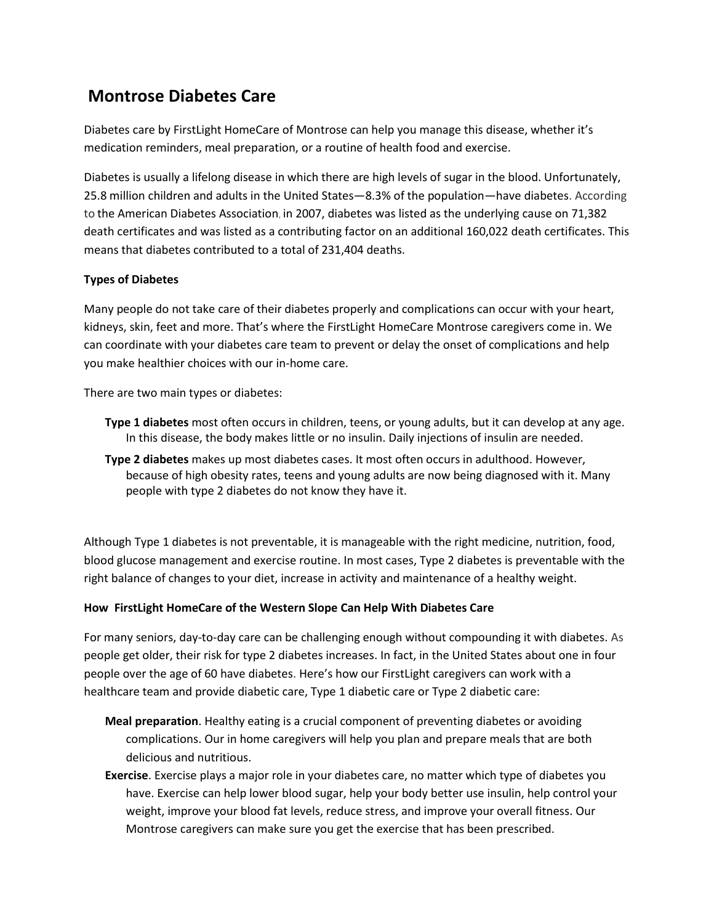## **Montrose Diabetes Care**

Diabetes care by FirstLight HomeCare of Montrose can help you manage this disease, whether it's medication reminders, meal preparation, or a routine of health food and exercise.

Diabetes is usually a lifelong disease in which there are high levels of sugar in the blood. Unfortunately, 25.8 million children and adults in the United States—8.3% of the population—have diabetes. According to the American Diabetes Association, in 2007, diabetes was listed as the underlying cause on 71,382 death certificates and was listed as a contributing factor on an additional 160,022 death certificates. This means that diabetes contributed to a total of 231,404 deaths.

## **Types of Diabetes**

Many people do not take care of their diabetes properly and complications can occur with your heart, kidneys, skin, feet and more. That's where the FirstLight HomeCare Montrose caregivers come in. We can coordinate with your diabetes care team to prevent or delay the onset of complications and help you make healthier choices with our in-home care.

There are two main types or diabetes:

- **Type 1 diabetes** most often occurs in children, teens, or young adults, but it can develop at any age. In this disease, the body makes little or no insulin. Daily injections of insulin are needed.
- **Type 2 diabetes** makes up most diabetes cases. It most often occurs in adulthood. However, because of high obesity rates, teens and young adults are now being diagnosed with it. Many people with type 2 diabetes do not know they have it.

Although Type 1 diabetes is not preventable, it is manageable with the right medicine, nutrition, food, blood glucose management and exercise routine. In most cases, Type 2 diabetes is preventable with the right balance of changes to your diet, increase in activity and maintenance of a healthy weight.

## **How FirstLight HomeCare of the Western Slope Can Help With Diabetes Care**

For many seniors, day-to-day care can be challenging enough without compounding it with diabetes. As people get older, their risk for type 2 diabetes increases. In fact, in the United States about one in four people over the age of 60 have diabetes. Here's how our FirstLight caregivers can work with a healthcare team and provide diabetic care, Type 1 diabetic care or Type 2 diabetic care:

- **Meal preparation**. Healthy eating is a crucial component of preventing diabetes or avoiding complications. Our in home caregivers will help you plan and prepare meals that are both delicious and nutritious.
- **Exercise**. Exercise plays a major role in your diabetes care, no matter which type of diabetes you have. Exercise can help lower blood sugar, help your body better use insulin, help control your weight, improve your blood fat levels, reduce stress, and improve your overall fitness. Our Montrose caregivers can make sure you get the exercise that has been prescribed.